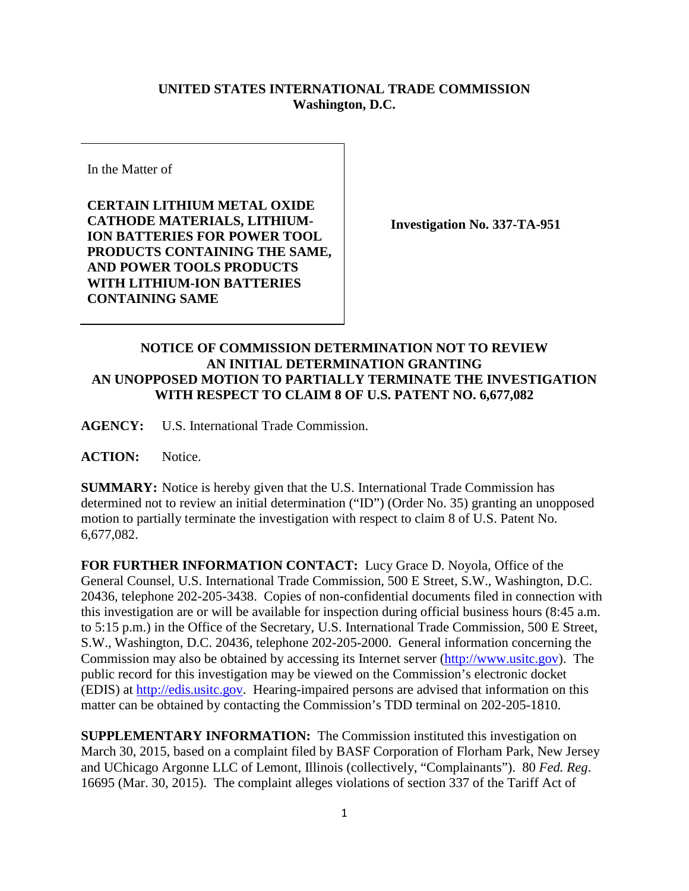## **UNITED STATES INTERNATIONAL TRADE COMMISSION Washington, D.C.**

In the Matter of

**CERTAIN LITHIUM METAL OXIDE CATHODE MATERIALS, LITHIUM-ION BATTERIES FOR POWER TOOL PRODUCTS CONTAINING THE SAME, AND POWER TOOLS PRODUCTS WITH LITHIUM-ION BATTERIES CONTAINING SAME**

**Investigation No. 337-TA-951**

## **NOTICE OF COMMISSION DETERMINATION NOT TO REVIEW AN INITIAL DETERMINATION GRANTING AN UNOPPOSED MOTION TO PARTIALLY TERMINATE THE INVESTIGATION WITH RESPECT TO CLAIM 8 OF U.S. PATENT NO. 6,677,082**

**AGENCY:** U.S. International Trade Commission.

ACTION: Notice.

**SUMMARY:** Notice is hereby given that the U.S. International Trade Commission has determined not to review an initial determination ("ID") (Order No. 35) granting an unopposed motion to partially terminate the investigation with respect to claim 8 of U.S. Patent No. 6,677,082.

**FOR FURTHER INFORMATION CONTACT:** Lucy Grace D. Noyola, Office of the General Counsel, U.S. International Trade Commission, 500 E Street, S.W., Washington, D.C. 20436, telephone 202-205-3438. Copies of non-confidential documents filed in connection with this investigation are or will be available for inspection during official business hours (8:45 a.m. to 5:15 p.m.) in the Office of the Secretary, U.S. International Trade Commission, 500 E Street, S.W., Washington, D.C. 20436, telephone 202-205-2000. General information concerning the Commission may also be obtained by accessing its Internet server [\(http://www.usitc.gov\)](http://www.usitc.gov/). The public record for this investigation may be viewed on the Commission's electronic docket (EDIS) at [http://edis.usitc.gov.](http://edis.usitc.gov/) Hearing-impaired persons are advised that information on this matter can be obtained by contacting the Commission's TDD terminal on 202-205-1810.

**SUPPLEMENTARY INFORMATION:** The Commission instituted this investigation on March 30, 2015, based on a complaint filed by BASF Corporation of Florham Park, New Jersey and UChicago Argonne LLC of Lemont, Illinois (collectively, "Complainants"). 80 *Fed. Reg*. 16695 (Mar. 30, 2015). The complaint alleges violations of section 337 of the Tariff Act of